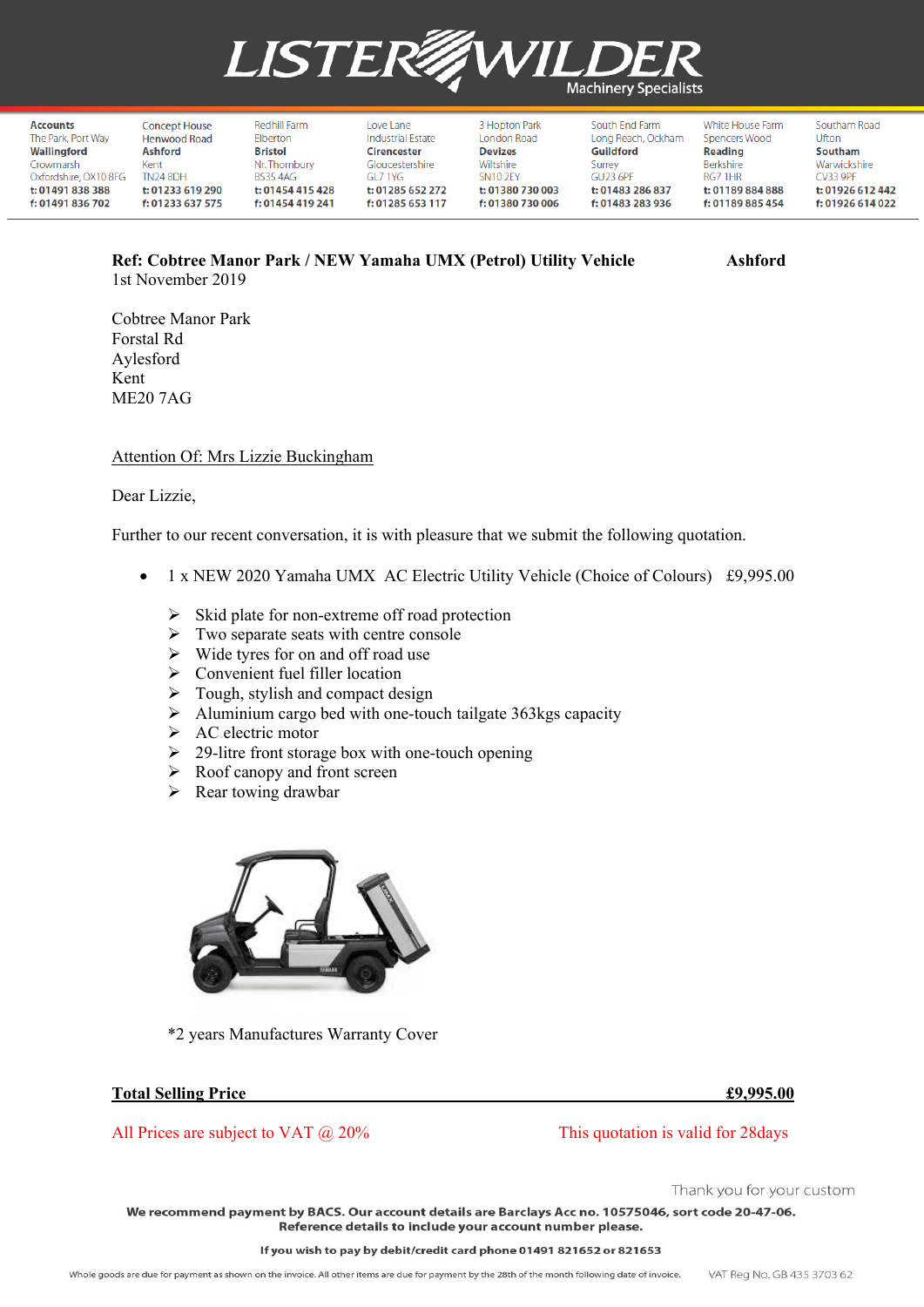

| Accounts              | Concept House       | Redhill Farm     | Love Lane                | 3 Hopton Park    | South End Farm     | White House Farm | Southam Road     |
|-----------------------|---------------------|------------------|--------------------------|------------------|--------------------|------------------|------------------|
| The Park, Port Way    | <b>Henwood Road</b> | Elberton         | <b>Industrial Estate</b> | London Road      | Long Reach, Ockham | Spencers Wood    | Ufton            |
| Wallingford           | <b>Ashford</b>      | <b>Bristol</b>   | Cirencester              | <b>Devizes</b>   | Guildford          | <b>Reading</b>   | Southam          |
| Crowmarsh             | Kent                | Nr. Thornbury    | Gloucestershire          | Wiltshire        | Surrey             | Berkshire        | Warwickshire     |
| Oxfordshire, OX10 8FG | <b>TN24 8DH</b>     | BS35 4AG         | GL7 1YG                  | <b>SN10 2EY</b>  | <b>GU23 6PF</b>    | RG7 1HR          | CV33 9PF         |
| t: 01491 838 388      | t: 01233 619 290    | t: 01454 415 428 | t: 01285 652 272         | t: 01380 730 003 | t: 01483 286 837   | t: 01189 884 888 | t: 01926 612 442 |
| f: 01491 836 702      | f: 01233 637 575    | f: 01454 419 241 | f: 01285 653 117         | f: 01380 730 006 | f: 01483 283 936   | f: 01189 885 454 | f: 01926 614 022 |

# **Ref: Cobtree Manor Park / NEW Yamaha UMX (Petrol) Utility Vehicle Ashford** 1st November 2019

Cobtree Manor Park Forstal Rd Aylesford Kent ME20 7AG

## Attention Of: Mrs Lizzie Buckingham

### Dear Lizzie,

Further to our recent conversation, it is with pleasure that we submit the following quotation.

- 1 x NEW 2020 Yamaha UMX AC Electric Utility Vehicle (Choice of Colours) £9,995.00
	- $\triangleright$  Skid plate for non-extreme off road protection
	- $\triangleright$  Two separate seats with centre console
	- $\triangleright$  Wide tyres for on and off road use
	- $\triangleright$  Convenient fuel filler location
	- $\triangleright$  Tough, stylish and compact design
	- $\triangleright$  Aluminium cargo bed with one-touch tailgate 363kgs capacity
	- $\triangleright$  AC electric motor
	- $\geq$  29-litre front storage box with one-touch opening
	- $\triangleright$  Roof canopy and front screen
	- $\triangleright$  Rear towing drawbar



\*2 years Manufactures Warranty Cover

## **Total Selling Price £9,995.00**

All Prices are subject to VAT  $\omega$  20% This quotation is valid for 28 days

Thank you for your custom

We recommend payment by BACS. Our account details are Barclays Acc no. 10575046, sort code 20-47-06. Reference details to include your account number please.